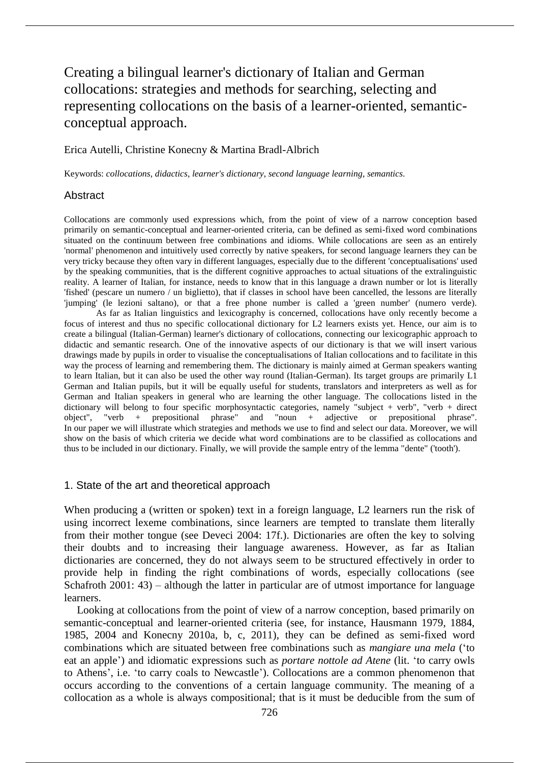# Creating a bilingual learner's dictionary of Italian and German collocations: strategies and methods for searching, selecting and representing collocations on the basis of a learner-oriented, semanticconceptual approach.

## Erica Autelli, Christine Konecny & Martina Bradl-Albrich

Keywords: *collocations*, *didactics*, *learner's dictionary*, *second language learning*, *semantics*.

## **Abstract**

Collocations are commonly used expressions which, from the point of view of a narrow conception based primarily on semantic-conceptual and learner-oriented criteria, can be defined as semi-fixed word combinations situated on the continuum between free combinations and idioms. While collocations are seen as an entirely 'normal' phenomenon and intuitively used correctly by native speakers, for second language learners they can be very tricky because they often vary in different languages, especially due to the different 'conceptualisations' used by the speaking communities, that is the different cognitive approaches to actual situations of the extralinguistic reality. A learner of Italian, for instance, needs to know that in this language a drawn number or lot is literally 'fished' (pescare un numero / un biglietto), that if classes in school have been cancelled, the lessons are literally 'jumping' (le lezioni saltano), or that a free phone number is called a 'green number' (numero verde).

As far as Italian linguistics and lexicography is concerned, collocations have only recently become a focus of interest and thus no specific collocational dictionary for L2 learners exists yet. Hence, our aim is to create a bilingual (Italian-German) learner's dictionary of collocations, connecting our lexicographic approach to didactic and semantic research. One of the innovative aspects of our dictionary is that we will insert various drawings made by pupils in order to visualise the conceptualisations of Italian collocations and to facilitate in this way the process of learning and remembering them. The dictionary is mainly aimed at German speakers wanting to learn Italian, but it can also be used the other way round (Italian-German). Its target groups are primarily L1 German and Italian pupils, but it will be equally useful for students, translators and interpreters as well as for German and Italian speakers in general who are learning the other language. The collocations listed in the dictionary will belong to four specific morphosyntactic categories, namely "subject + verb", "verb + direct object", "verb + prepositional phrase" and "noun + adjective or prepositional phrase". In our paper we will illustrate which strategies and methods we use to find and select our data. Moreover, we will show on the basis of which criteria we decide what word combinations are to be classified as collocations and thus to be included in our dictionary. Finally, we will provide the sample entry of the lemma "dente" ('tooth').

## 1. State of the art and theoretical approach

When producing a (written or spoken) text in a foreign language, L2 learners run the risk of using incorrect lexeme combinations, since learners are tempted to translate them literally from their mother tongue (see Deveci 2004: 17f.). Dictionaries are often the key to solving their doubts and to increasing their language awareness. However, as far as Italian dictionaries are concerned, they do not always seem to be structured effectively in order to provide help in finding the right combinations of words, especially collocations (see Schafroth 2001: 43) – although the latter in particular are of utmost importance for language learners.

Looking at collocations from the point of view of a narrow conception, based primarily on semantic-conceptual and learner-oriented criteria (see, for instance, Hausmann 1979, 1884, 1985, 2004 and Konecny 2010a, b, c, 2011), they can be defined as semi-fixed word combinations which are situated between free combinations such as *mangiare una mela* ('to eat an apple') and idiomatic expressions such as *portare nottole ad Atene* (lit. 'to carry owls to Athens', i.e. 'to carry coals to Newcastle'). Collocations are a common phenomenon that occurs according to the conventions of a certain language community. The meaning of a collocation as a whole is always compositional; that is it must be deducible from the sum of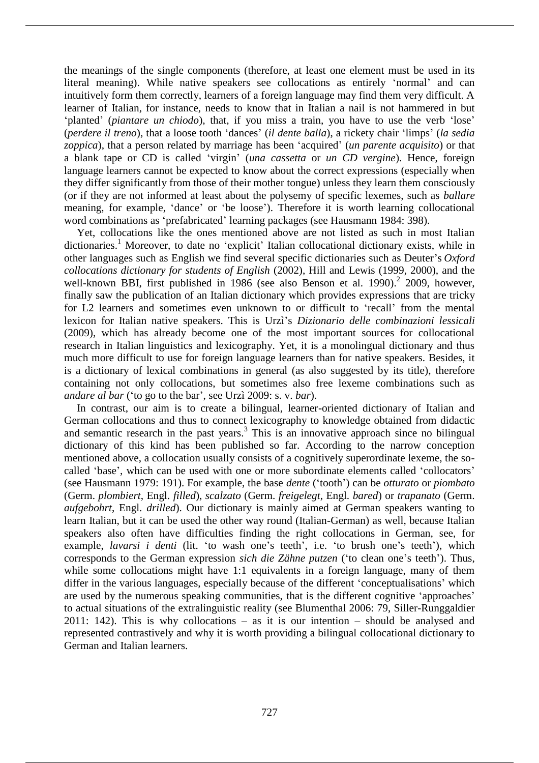the meanings of the single components (therefore, at least one element must be used in its literal meaning). While native speakers see collocations as entirely 'normal' and can intuitively form them correctly, learners of a foreign language may find them very difficult. A learner of Italian, for instance, needs to know that in Italian a nail is not hammered in but 'planted' (*piantare un chiodo*), that, if you miss a train, you have to use the verb 'lose' (*perdere il treno*), that a loose tooth 'dances' (*il dente balla*), a rickety chair 'limps' (*la sedia zoppica*), that a person related by marriage has been 'acquired' (*un parente acquisito*) or that a blank tape or CD is called 'virgin' (*una cassetta* or *un CD vergine*). Hence, foreign language learners cannot be expected to know about the correct expressions (especially when they differ significantly from those of their mother tongue) unless they learn them consciously (or if they are not informed at least about the polysemy of specific lexemes, such as *ballare* meaning, for example, 'dance' or 'be loose'). Therefore it is worth learning collocational word combinations as 'prefabricated' learning packages (see Hausmann 1984: 398).

Yet, collocations like the ones mentioned above are not listed as such in most Italian dictionaries.<sup>1</sup> Moreover, to date no 'explicit' Italian collocational dictionary exists, while in other languages such as English we find several specific dictionaries such as Deuter's *Oxford collocations dictionary for students of English* (2002), Hill and Lewis (1999, 2000), and the well-known BBI, first published in 1986 (see also Benson et al. 1990).<sup>2</sup> 2009, however, finally saw the publication of an Italian dictionary which provides expressions that are tricky for L2 learners and sometimes even unknown to or difficult to 'recall' from the mental lexicon for Italian native speakers. This is Urzì's *Dizionario delle combinazioni lessicali*  (2009), which has already become one of the most important sources for collocational research in Italian linguistics and lexicography. Yet, it is a monolingual dictionary and thus much more difficult to use for foreign language learners than for native speakers. Besides, it is a dictionary of lexical combinations in general (as also suggested by its title), therefore containing not only collocations, but sometimes also free lexeme combinations such as *andare al bar* ('to go to the bar', see Urzì 2009: s. v. *bar*).

In contrast, our aim is to create a bilingual, learner-oriented dictionary of Italian and German collocations and thus to connect lexicography to knowledge obtained from didactic and semantic research in the past years. $3$  This is an innovative approach since no bilingual dictionary of this kind has been published so far. According to the narrow conception mentioned above, a collocation usually consists of a cognitively superordinate lexeme, the socalled 'base', which can be used with one or more subordinate elements called 'collocators' (see Hausmann 1979: 191). For example, the base *dente* ('tooth') can be *otturato* or *piombato* (Germ. *plombiert*, Engl. *filled*), *scalzato* (Germ. *freigelegt*, Engl. *bared*) or *trapanato* (Germ. *aufgebohrt*, Engl. *drilled*). Our dictionary is mainly aimed at German speakers wanting to learn Italian, but it can be used the other way round (Italian-German) as well, because Italian speakers also often have difficulties finding the right collocations in German, see, for example, *lavarsi i denti* (lit. 'to wash one's teeth', i.e. 'to brush one's teeth'), which corresponds to the German expression *sich die Zähne putzen* ('to clean one's teeth'). Thus, while some collocations might have 1:1 equivalents in a foreign language, many of them differ in the various languages, especially because of the different 'conceptualisations' which are used by the numerous speaking communities, that is the different cognitive 'approaches' to actual situations of the extralinguistic reality (see Blumenthal 2006: 79, Siller-Runggaldier 2011: 142). This is why collocations – as it is our intention – should be analysed and represented contrastively and why it is worth providing a bilingual collocational dictionary to German and Italian learners.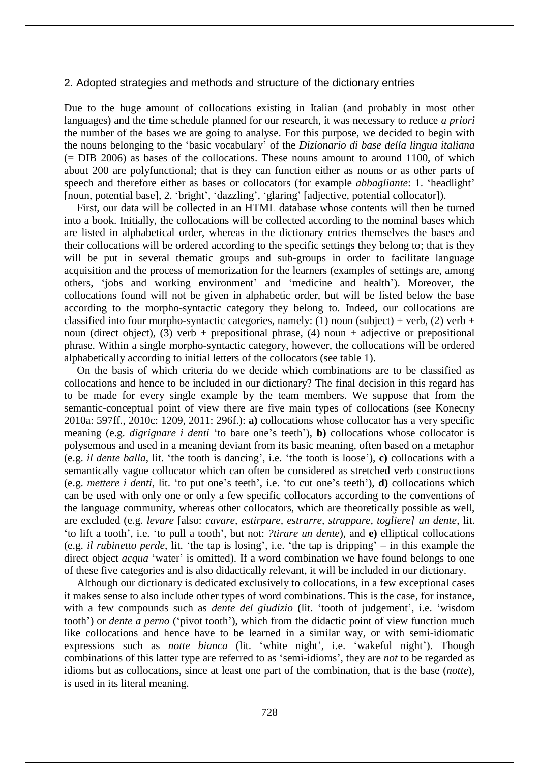## 2. Adopted strategies and methods and structure of the dictionary entries

Due to the huge amount of collocations existing in Italian (and probably in most other languages) and the time schedule planned for our research, it was necessary to reduce *a priori* the number of the bases we are going to analyse. For this purpose, we decided to begin with the nouns belonging to the 'basic vocabulary' of the *Dizionario di base della lingua italiana*  (= DIB 2006) as bases of the collocations. These nouns amount to around 1100, of which about 200 are polyfunctional; that is they can function either as nouns or as other parts of speech and therefore either as bases or collocators (for example *abbagliante*: 1. 'headlight' [noun, potential base], 2. 'bright', 'dazzling', 'glaring' [adjective, potential collocator]).

First, our data will be collected in an HTML database whose contents will then be turned into a book. Initially, the collocations will be collected according to the nominal bases which are listed in alphabetical order, whereas in the dictionary entries themselves the bases and their collocations will be ordered according to the specific settings they belong to; that is they will be put in several thematic groups and sub-groups in order to facilitate language acquisition and the process of memorization for the learners (examples of settings are, among others, 'jobs and working environment' and 'medicine and health'). Moreover, the collocations found will not be given in alphabetic order, but will be listed below the base according to the morpho-syntactic category they belong to. Indeed, our collocations are classified into four morpho-syntactic categories, namely: (1) noun (subject) + verb, (2) verb + noun (direct object), (3) verb + prepositional phrase, (4) noun + adjective or prepositional phrase. Within a single morpho-syntactic category, however, the collocations will be ordered alphabetically according to initial letters of the collocators (see table 1).

On the basis of which criteria do we decide which combinations are to be classified as collocations and hence to be included in our dictionary? The final decision in this regard has to be made for every single example by the team members. We suppose that from the semantic-conceptual point of view there are five main types of collocations (see Konecny 2010a: 597ff., 2010c: 1209, 2011: 296f.): **a)** collocations whose collocator has a very specific meaning (e.g. *digrignare i denti* 'to bare one's teeth'), **b)** collocations whose collocator is polysemous and used in a meaning deviant from its basic meaning, often based on a metaphor (e.g. *il dente balla*, lit. 'the tooth is dancing', i.e. 'the tooth is loose'), **c)** collocations with a semantically vague collocator which can often be considered as stretched verb constructions (e.g. *mettere i denti*, lit. 'to put one's teeth', i.e. 'to cut one's teeth'), **d)** collocations which can be used with only one or only a few specific collocators according to the conventions of the language community, whereas other collocators, which are theoretically possible as well, are excluded (e.g. *levare* [also: *cavare, estirpare, estrarre, strappare, togliere] un dente*, lit. 'to lift a tooth', i.e. 'to pull a tooth', but not: *?tirare un dente*), and **e)** elliptical collocations (e.g. *il rubinetto perde*, lit. 'the tap is losing', i.e. 'the tap is dripping' – in this example the direct object *acqua* 'water' is omitted). If a word combination we have found belongs to one of these five categories and is also didactically relevant, it will be included in our dictionary.

Although our dictionary is dedicated exclusively to collocations, in a few exceptional cases it makes sense to also include other types of word combinations. This is the case, for instance, with a few compounds such as *dente del giudizio* (lit. 'tooth of judgement', i.e. 'wisdom tooth') or *dente a perno* ('pivot tooth'), which from the didactic point of view function much like collocations and hence have to be learned in a similar way, or with semi-idiomatic expressions such as *notte bianca* (lit. 'white night', i.e. 'wakeful night'). Though combinations of this latter type are referred to as 'semi-idioms', they are *not* to be regarded as idioms but as collocations, since at least one part of the combination, that is the base (*notte*), is used in its literal meaning.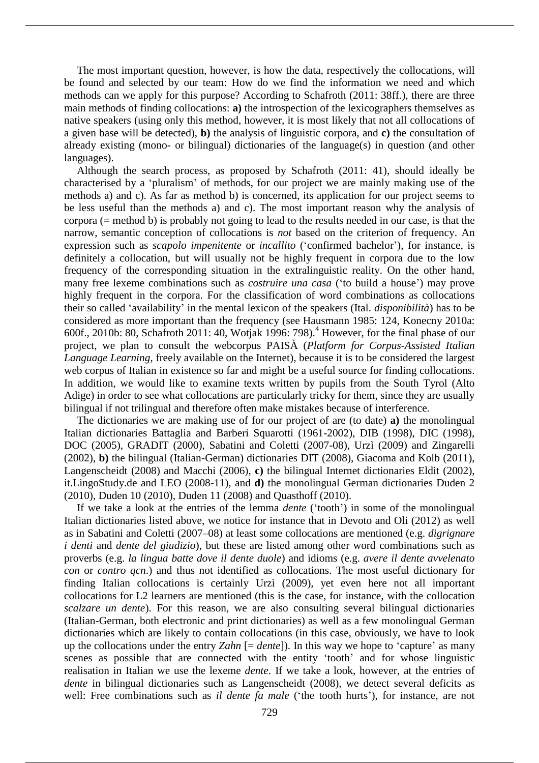The most important question, however, is how the data, respectively the collocations, will be found and selected by our team: How do we find the information we need and which methods can we apply for this purpose? According to Schafroth (2011: 38ff.), there are three main methods of finding collocations: **a)** the introspection of the lexicographers themselves as native speakers (using only this method, however, it is most likely that not all collocations of a given base will be detected), **b)** the analysis of linguistic corpora, and **c)** the consultation of already existing (mono- or bilingual) dictionaries of the language(s) in question (and other languages).

Although the search process, as proposed by Schafroth (2011: 41), should ideally be characterised by a 'pluralism' of methods, for our project we are mainly making use of the methods a) and c). As far as method b) is concerned, its application for our project seems to be less useful than the methods a) and c). The most important reason why the analysis of corpora (= method b) is probably not going to lead to the results needed in our case, is that the narrow, semantic conception of collocations is *not* based on the criterion of frequency. An expression such as *scapolo impenitente* or *incallito* ('confirmed bachelor'), for instance, is definitely a collocation, but will usually not be highly frequent in corpora due to the low frequency of the corresponding situation in the extralinguistic reality. On the other hand, many free lexeme combinations such as *costruire una casa* ('to build a house') may prove highly frequent in the corpora. For the classification of word combinations as collocations their so called 'availability' in the mental lexicon of the speakers (Ital. *disponibilità*) has to be considered as more important than the frequency (see Hausmann 1985: 124, Konecny 2010a: 600f., 2010b: 80, Schafroth 2011: 40, Wotjak 1996: 798).<sup>4</sup> However, for the final phase of our project, we plan to consult the webcorpus PAISÀ (*Platform for Corpus-Assisted Italian Language Learning*, freely available on the Internet), because it is to be considered the largest web corpus of Italian in existence so far and might be a useful source for finding collocations. In addition, we would like to examine texts written by pupils from the South Tyrol (Alto Adige) in order to see what collocations are particularly tricky for them, since they are usually bilingual if not trilingual and therefore often make mistakes because of interference.

The dictionaries we are making use of for our project of are (to date) **a)** the monolingual Italian dictionaries Battaglia and Barberi Squarotti (1961-2002), DIB (1998), DIC (1998), DOC (2005), GRADIT (2000), Sabatini and Coletti (2007-08), Urzì (2009) and Zingarelli (2002), **b)** the bilingual (Italian-German) dictionaries DIT (2008), Giacoma and Kolb (2011), Langenscheidt (2008) and Macchi (2006), **c)** the bilingual Internet dictionaries Eldit (2002), it.LingoStudy.de and LEO (2008-11), and **d)** the monolingual German dictionaries Duden 2 (2010), Duden 10 (2010), Duden 11 (2008) and Quasthoff (2010).

If we take a look at the entries of the lemma *dente* ('tooth') in some of the monolingual Italian dictionaries listed above, we notice for instance that in Devoto and Oli (2012) as well as in Sabatini and Coletti (2007–08) at least some collocations are mentioned (e.g. *digrignare i denti* and *dente del giudizio*), but these are listed among other word combinations such as proverbs (e.g. *la lingua batte dove il dente duole*) and idioms (e.g. *avere il dente avvelenato con* or *contro qcn*.) and thus not identified as collocations. The most useful dictionary for finding Italian collocations is certainly Urzì (2009), yet even here not all important collocations for L2 learners are mentioned (this is the case, for instance, with the collocation *scalzare un dente*). For this reason, we are also consulting several bilingual dictionaries (Italian-German, both electronic and print dictionaries) as well as a few monolingual German dictionaries which are likely to contain collocations (in this case, obviously, we have to look up the collocations under the entry *Zahn* [= *dente*]). In this way we hope to 'capture' as many scenes as possible that are connected with the entity 'tooth' and for whose linguistic realisation in Italian we use the lexeme *dente*. If we take a look, however, at the entries of *dente* in bilingual dictionaries such as Langenscheidt (2008), we detect several deficits as well: Free combinations such as *il dente fa male* ('the tooth hurts'), for instance, are not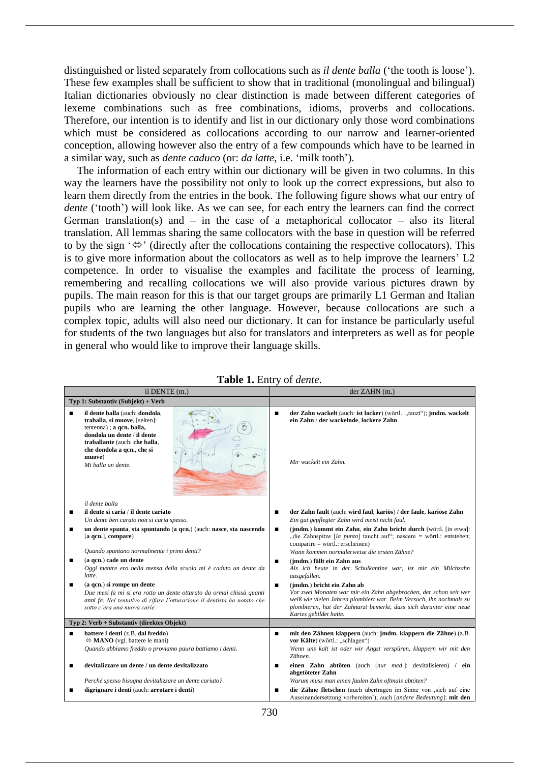distinguished or listed separately from collocations such as *il dente balla* ('the tooth is loose'). These few examples shall be sufficient to show that in traditional (monolingual and bilingual) Italian dictionaries obviously no clear distinction is made between different categories of lexeme combinations such as free combinations, idioms, proverbs and collocations. Therefore, our intention is to identify and list in our dictionary only those word combinations which must be considered as collocations according to our narrow and learner-oriented conception, allowing however also the entry of a few compounds which have to be learned in a similar way, such as *dente caduco* (or: *da latte*, i.e. 'milk tooth').

The information of each entry within our dictionary will be given in two columns. In this way the learners have the possibility not only to look up the correct expressions, but also to learn them directly from the entries in the book. The following figure shows what our entry of *dente* ('tooth') will look like. As we can see, for each entry the learners can find the correct German translation(s) and  $-$  in the case of a metaphorical collocator  $-$  also its literal translation. All lemmas sharing the same collocators with the base in question will be referred to by the sign ' $\Leftrightarrow$ ' (directly after the collocations containing the respective collocators). This is to give more information about the collocators as well as to help improve the learners' L2 competence. In order to visualise the examples and facilitate the process of learning, remembering and recalling collocations we will also provide various pictures drawn by pupils. The main reason for this is that our target groups are primarily L1 German and Italian pupils who are learning the other language. However, because collocations are such a complex topic, adults will also need our dictionary. It can for instance be particularly useful for students of the two languages but also for translators and interpreters as well as for people in general who would like to improve their language skills.

| il DENTE (m.)                              |                                                                                                                                                                                                                                                                                                                                            | der ZAHN (m.)                                                                                                                                                                                                                                                                                                                                                                                                                                                   |  |
|--------------------------------------------|--------------------------------------------------------------------------------------------------------------------------------------------------------------------------------------------------------------------------------------------------------------------------------------------------------------------------------------------|-----------------------------------------------------------------------------------------------------------------------------------------------------------------------------------------------------------------------------------------------------------------------------------------------------------------------------------------------------------------------------------------------------------------------------------------------------------------|--|
|                                            | Typ 1: Substantiv (Subjekt) + Verb                                                                                                                                                                                                                                                                                                         |                                                                                                                                                                                                                                                                                                                                                                                                                                                                 |  |
| ▪                                          | il dente balla (auch: dondola,<br>traballa, si muove, [selten]:<br>tentenna); a qcn. balla,<br>dondola un dente / il dente<br>traballante (auch: che balla,<br>che dondola a qcn., che si<br>muove)<br>Mi balla un dente.                                                                                                                  | der Zahn wackelt (auch: ist locker) (wörtl.: "tanzt"); jmdm. wackelt<br>п<br>ein Zahn / der wackelnde, lockere Zahn<br>Mir wackelt ein Zahn.                                                                                                                                                                                                                                                                                                                    |  |
| ■<br>■<br>■                                | il dente balla<br>il dente si caria / il dente cariato<br>Un dente ben curato non si caria spesso.<br>un dente spunta, sta spuntando (a qcn.) (auch: nasce, sta nascendo<br>[a qcn.], compare)<br>Quando spuntano normalmente i primi denti?<br>(a qcn.) cade un dente<br>Oggi mentre ero nella mensa della scuola mi è caduto un dente da | der Zahn fault (auch: wird faul, kariös) / der faule, kariöse Zahn<br>п<br>Ein gut gepflegter Zahn wird meist nicht faul.<br>(jmdm.) kommt ein Zahn, ein Zahn bricht durch (wörtl. [in etwa]:<br>п<br>"die Zahnspitze [la punta] taucht auf"; nascere = wörtl.: entstehen;<br>comparire = wörtl.: erscheinen)<br>Wann kommen normalerweise die ersten Zähne?<br>(jmdm.) fällt ein Zahn aus<br>п<br>Als ich heute in der Schulkantine war, ist mir ein Milchzahn |  |
| ■                                          | latte.<br>(a qcn.) si rompe un dente<br>Due mesi fa mi si era rotto un dente otturato da ormai chissà quanti<br>anni fa. Nel tentativo di rifare l'otturazione il dentista ha notato che<br>sotto c'era una nuova carie.                                                                                                                   | ausgefallen.<br>(jmdm.) bricht ein Zahn ab<br>$\blacksquare$<br>Vor zwei Monaten war mir ein Zahn abgebrochen, der schon seit wer<br>weiß wie vielen Jahren plombiert war. Beim Versuch, ihn nochmals zu<br>plombieren, hat der Zahnarzt bemerkt, dass sich darunter eine neue<br>Karies gebildet hatte.                                                                                                                                                        |  |
| Typ 2: Verb + Substantiv (direktes Objekt) |                                                                                                                                                                                                                                                                                                                                            |                                                                                                                                                                                                                                                                                                                                                                                                                                                                 |  |
| ٠<br>■                                     | battere i denti (z.B. dal freddo)<br>$\Leftrightarrow$ <b>MANO</b> (vgl. battere le mani)<br>Quando abbiamo freddo o proviamo paura battiamo i denti.<br>devitalizzare un dente / un dente devitalizzato                                                                                                                                   | mit den Zähnen klappern (auch: jmdm. klappern die Zähne) (z.B.<br>п<br>vor Kälte) (wörtl.: "schlagen")<br>Wenn uns kalt ist oder wir Angst verspüren, klappern wir mit den<br>Zähnen.<br>einen Zahn abtöten (auch [nur med.]: devitalisieren) / ein<br>п                                                                                                                                                                                                        |  |
|                                            | Perché spesso bisogna devitalizzare un dente cariato?                                                                                                                                                                                                                                                                                      | abgetöteter Zahn<br>Warum muss man einen faulen Zahn oftmals abtöten?                                                                                                                                                                                                                                                                                                                                                                                           |  |
| ■                                          | digrignare i denti (auch: arrotare i denti)                                                                                                                                                                                                                                                                                                | die Zähne fletschen (auch übertragen im Sinne von "sich auf eine<br>п<br>Auseinandersetzung vorbereiten'); auch [andere Bedeutung]: mit den                                                                                                                                                                                                                                                                                                                     |  |

**Table 1.** Entry of *dente*.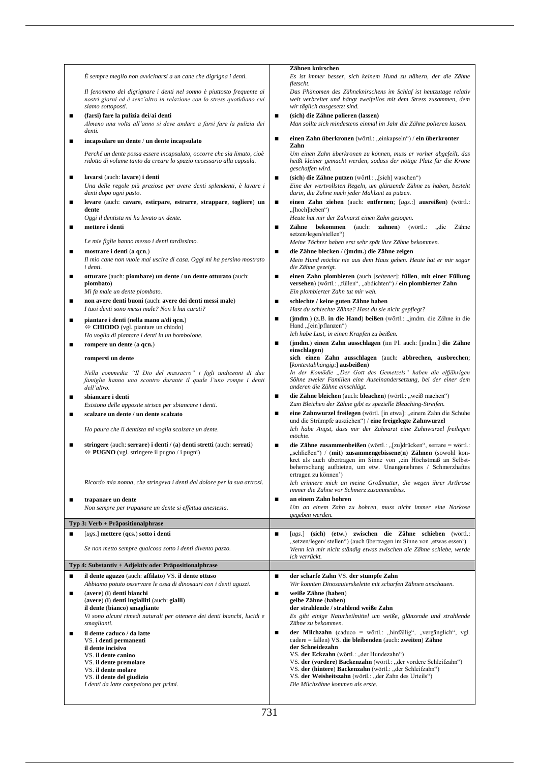|   |                                                                                                                                                  |                | Zähnen knirschen                                                                                                                                                                                                                                                                                      |
|---|--------------------------------------------------------------------------------------------------------------------------------------------------|----------------|-------------------------------------------------------------------------------------------------------------------------------------------------------------------------------------------------------------------------------------------------------------------------------------------------------|
|   | È sempre meglio non avvicinarsi a un cane che digrigna i denti.                                                                                  |                | Es ist immer besser, sich keinem Hund zu nähern, der die Zähne                                                                                                                                                                                                                                        |
|   |                                                                                                                                                  |                | fletscht.                                                                                                                                                                                                                                                                                             |
|   | Il fenomeno del digrignare i denti nel sonno è piuttosto frequente ai<br>nostri giorni ed è senz'altro in relazione con lo stress quotidiano cui |                | Das Phänomen des Zähneknirschens im Schlaf ist heutzutage relativ<br>weit verbreitet und hängt zweifellos mit dem Stress zusammen, dem                                                                                                                                                                |
|   | siamo sottoposti.                                                                                                                                |                | wir täglich ausgesetzt sind.                                                                                                                                                                                                                                                                          |
| п | (farsi) fare la pulizia dei/ai denti                                                                                                             | п              | (sich) die Zähne polieren (lassen)                                                                                                                                                                                                                                                                    |
|   | Almeno una volta all'anno si deve andare a farsi fare la pulizia dei                                                                             |                | Man sollte sich mindestens einmal im Jahr die Zähne polieren lassen.                                                                                                                                                                                                                                  |
|   | denti.                                                                                                                                           | п              |                                                                                                                                                                                                                                                                                                       |
| п | incapsulare un dente / un dente incapsulato                                                                                                      |                | einen Zahn überkronen (wörtl.: "einkapseln") / ein überkronter<br>Zahn                                                                                                                                                                                                                                |
|   | Perché un dente possa essere incapsulato, occorre che sia limato, cioè                                                                           |                | Um einen Zahn überkronen zu können, muss er vorher abgefeilt, das                                                                                                                                                                                                                                     |
|   | ridotto di volume tanto da creare lo spazio necessario alla capsula.                                                                             |                | heißt kleiner gemacht werden, sodass der nötige Platz für die Krone<br>geschaffen wird.                                                                                                                                                                                                               |
| п | lavarsi (auch: lavare) i denti                                                                                                                   | п              | (sich) die Zähne putzen (wörtl.: "[sich] waschen")                                                                                                                                                                                                                                                    |
|   | Una delle regole più preziose per avere denti splendenti, è lavare i<br>denti dopo ogni pasto.                                                   |                | Eine der wertvollsten Regeln, um glänzende Zähne zu haben, besteht<br>darin, die Zähne nach jeder Mahlzeit zu putzen.                                                                                                                                                                                 |
| п | levare (auch: cavare, estirpare, estrarre, strappare, togliere) un<br>dente                                                                      | п              | einen Zahn ziehen (auch: entfernen; [ugs.:] ausreißen) (wörtl.:<br>"[hoch]heben")                                                                                                                                                                                                                     |
|   | Oggi il dentista mi ha levato un dente.                                                                                                          |                | Heute hat mir der Zahnarzt einen Zahn gezogen.                                                                                                                                                                                                                                                        |
| г | mettere i denti                                                                                                                                  | п              | Zähne bekommen<br>(auch: <b>zahnen</b> )<br>(wörtl.:<br>Zähne<br>"die                                                                                                                                                                                                                                 |
|   | Le mie figlie hanno messo i denti tardissimo.                                                                                                    |                | setzen/legen/stellen")<br>Meine Töchter haben erst sehr spät ihre Zähne bekommen.                                                                                                                                                                                                                     |
| п | mostrare i denti (a qcn.)                                                                                                                        | п              | die Zähne blecken / (jmdm.) die Zähne zeigen                                                                                                                                                                                                                                                          |
|   | Il mio cane non vuole mai uscire di casa. Oggi mi ha persino mostrato<br>i denti.                                                                |                | Mein Hund möchte nie aus dem Haus gehen. Heute hat er mir sogar<br>die Zähne gezeigt.                                                                                                                                                                                                                 |
| п | otturare (auch: piombare) un dente / un dente otturato (auch:                                                                                    | п              | einen Zahn plombieren (auch [seltener]: füllen, mit einer Füllung                                                                                                                                                                                                                                     |
|   | piombato)                                                                                                                                        |                | versehen) (wörtl.: "füllen", "abdichten") / ein plombierter Zahn                                                                                                                                                                                                                                      |
|   | Mi fa male un dente piombato.                                                                                                                    |                | Ein plombierter Zahn tut mir weh.                                                                                                                                                                                                                                                                     |
| п | non avere denti buoni (auch: avere dei denti messi male)                                                                                         | п              | schlechte / keine guten Zähne haben                                                                                                                                                                                                                                                                   |
|   | I tuoi denti sono messi male? Non li hai curati?                                                                                                 |                | Hast du schlechte Zähne? Hast du sie nicht gepflegt?                                                                                                                                                                                                                                                  |
| п | piantare i denti (nella mano a/di qcn.)<br>$\Leftrightarrow$ <b>CHIODO</b> (vgl. piantare un chiodo)                                             | $\blacksquare$ | (jmdm.) (z.B. in die Hand) beißen (wörtl.: "jmdm. die Zähne in die<br>Hand "[ein]pflanzen")                                                                                                                                                                                                           |
|   | Ho voglia di piantare i denti in un bombolone.                                                                                                   | п              | Ich habe Lust, in einen Krapfen zu beißen.<br>(jmdm.) einen Zahn ausschlagen (im Pl. auch: [jmdm.] die Zähne                                                                                                                                                                                          |
| п | rompere un dente (a qcn.)                                                                                                                        |                | einschlagen)                                                                                                                                                                                                                                                                                          |
|   | rompersi un dente                                                                                                                                |                | sich einen Zahn ausschlagen (auch: abbrechen, ausbrechen;                                                                                                                                                                                                                                             |
|   |                                                                                                                                                  |                | [kontextabhängig:] ausbeißen)<br>In der Komödie "Der Gott des Gemetzels" haben die elfjährigen                                                                                                                                                                                                        |
|   | Nella commedia "Il Dio del massacro" i figli undicenni di due<br>famiglie hanno uno scontro durante il quale l'uno rompe i denti<br>dell'altro.  |                | Söhne zweier Familien eine Auseinandersetzung, bei der einer dem<br>anderen die Zähne einschlägt.                                                                                                                                                                                                     |
| ■ | sbiancare i denti                                                                                                                                | п              | die Zähne bleichen (auch: bleachen) (wörtl.: "weiß machen")                                                                                                                                                                                                                                           |
|   | Esistono delle apposite strisce per sbiancare i denti.                                                                                           |                | Zum Bleichen der Zähne gibt es spezielle Bleaching-Streifen.                                                                                                                                                                                                                                          |
| п | scalzare un dente / un dente scalzato                                                                                                            | п              | eine Zahnwurzel freilegen (wörtl. [in etwa]: "einem Zahn die Schuhe<br>und die Strümpfe ausziehen") / eine freigelegte Zahnwurzel                                                                                                                                                                     |
|   | Ho paura che il dentista mi voglia scalzare un dente.                                                                                            |                | Ich habe Angst, dass mir der Zahnarzt eine Zahnwurzel freilegen                                                                                                                                                                                                                                       |
|   |                                                                                                                                                  |                | möchte.                                                                                                                                                                                                                                                                                               |
| п | stringere (auch: serrare) i denti / (a) denti stretti (auch: serrati)<br>$\Leftrightarrow$ <b>PUGNO</b> (vgl. stringere il pugno / i pugni)      | п              | <b>die Zähne zusammenbeißen</b> (wörtl.: "[zu]drücken", serrare = wörtl.:<br>"schließen") / (mit) zusammengebissene(n) Zähnen (sowohl kon-<br>kret als auch übertragen im Sinne von ,ein Höchstmaß an Selbst-<br>beherrschung aufbieten, um etw. Unangenehmes / Schmerzhaftes<br>ertragen zu können') |
|   | Ricordo mia nonna, che stringeva i denti dal dolore per la sua artrosi.                                                                          |                | Ich erinnere mich an meine Großmutter, die wegen ihrer Arthrose                                                                                                                                                                                                                                       |
|   |                                                                                                                                                  |                | immer die Zähne vor Schmerz zusammenbiss.                                                                                                                                                                                                                                                             |
| г | trapanare un dente                                                                                                                               | п              | an einem Zahn bohren<br>Um an einem Zahn zu bohren, muss nicht immer eine Narkose                                                                                                                                                                                                                     |
|   | Non sempre per trapanare un dente si effettua anestesia.                                                                                         |                | gegeben werden.                                                                                                                                                                                                                                                                                       |
|   | Typ 3: Verb + Präpositionalphrase                                                                                                                |                |                                                                                                                                                                                                                                                                                                       |
| п | $[ugs.]$ mettere $(qcs.)$ sotto i denti                                                                                                          | п              | [ugs.] (sich) (etw.) zwischen die Zähne schieben (wörtl.:                                                                                                                                                                                                                                             |
|   | Se non metto sempre qualcosa sotto i denti divento pazzo.                                                                                        |                | "setzen/legen/stellen") (auch übertragen im Sinne von , etwas essen")<br>Wenn ich mir nicht ständig etwas zwischen die Zähne schiebe, werde                                                                                                                                                           |
|   |                                                                                                                                                  |                | ich verrückt.                                                                                                                                                                                                                                                                                         |
|   | Typ 4: Substantiv + Adjektiv oder Präpositionalphrase                                                                                            |                |                                                                                                                                                                                                                                                                                                       |
| п | il dente aguzzo (auch: affilato) VS. il dente ottuso<br>Abbiamo potuto osservare le ossa di dinosauri con i denti aguzzi.                        | п              | der scharfe Zahn VS. der stumpfe Zahn<br>Wir konnten Dinosauierskelette mit scharfen Zähnen anschauen.                                                                                                                                                                                                |
| п | (avere) (i) denti bianchi                                                                                                                        | п              | weiße Zähne (haben)                                                                                                                                                                                                                                                                                   |
|   | (avere) (i) denti ingialliti (auch: gialli)                                                                                                      |                | gelbe Zähne (haben)                                                                                                                                                                                                                                                                                   |
|   | il dente (bianco) smagliante                                                                                                                     |                | der strahlende / strahlend weiße Zahn                                                                                                                                                                                                                                                                 |
|   | Vi sono alcuni rimedi naturali per ottenere dei denti bianchi, lucidi e<br>smaglianti.                                                           |                | Es gibt einige Naturheilmittel um weiße, glänzende und strahlende<br>Zähne zu bekommen.                                                                                                                                                                                                               |
| п | il dente caduco / da latte                                                                                                                       | п              | der Milchzahn (caduco = wörtl.: "hinfällig", "vergänglich", vgl.                                                                                                                                                                                                                                      |
|   | VS. i denti permanenti<br>il dente incisivo<br>VS. il dente canino                                                                               |                | cadere = fallen) VS. die bleibenden (auch: zweiten) Zähne<br>der Schneidezahn<br>VS. der Eckzahn (wörtl.: "der Hundezahn")                                                                                                                                                                            |
|   | VS. il dente premolare                                                                                                                           |                | VS. der (vordere) Backenzahn (wörtl.: "der vordere Schleifzahn")                                                                                                                                                                                                                                      |
|   | VS. il dente molare                                                                                                                              |                | VS. der (hintere) Backenzahn (wörtl.: "der Schleifzahn")<br>VS. der Weisheitszahn (wörtl.: "der Zahn des Urteils")                                                                                                                                                                                    |
|   | VS. il dente del giudizio<br>I denti da latte compaiono per primi.                                                                               |                | Die Milchzähne kommen als erste.                                                                                                                                                                                                                                                                      |
|   |                                                                                                                                                  |                |                                                                                                                                                                                                                                                                                                       |
|   |                                                                                                                                                  |                |                                                                                                                                                                                                                                                                                                       |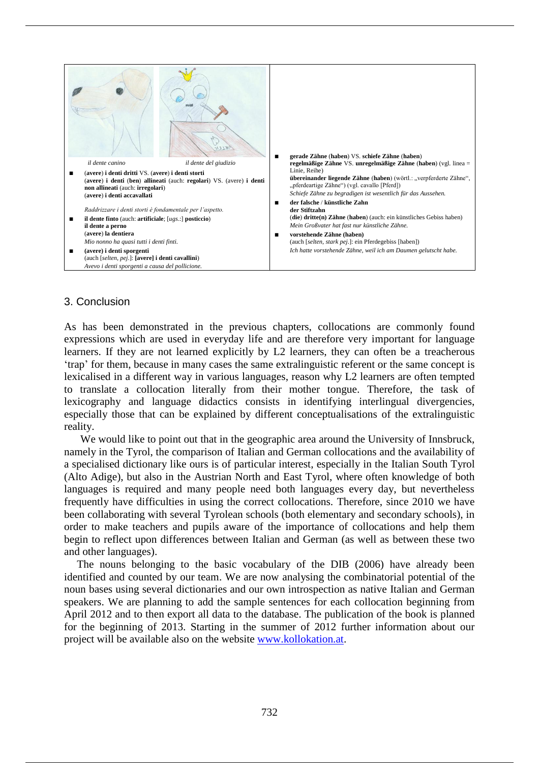

## 3. Conclusion

As has been demonstrated in the previous chapters, collocations are commonly found expressions which are used in everyday life and are therefore very important for language learners. If they are not learned explicitly by L2 learners, they can often be a treacherous 'trap' for them, because in many cases the same extralinguistic referent or the same concept is lexicalised in a different way in various languages, reason why L2 learners are often tempted to translate a collocation literally from their mother tongue. Therefore, the task of lexicography and language didactics consists in identifying interlingual divergencies, especially those that can be explained by different conceptualisations of the extralinguistic reality.

We would like to point out that in the geographic area around the University of Innsbruck, namely in the Tyrol, the comparison of Italian and German collocations and the availability of a specialised dictionary like ours is of particular interest, especially in the Italian South Tyrol (Alto Adige), but also in the Austrian North and East Tyrol, where often knowledge of both languages is required and many people need both languages every day, but nevertheless frequently have difficulties in using the correct collocations. Therefore, since 2010 we have been collaborating with several Tyrolean schools (both elementary and secondary schools), in order to make teachers and pupils aware of the importance of collocations and help them begin to reflect upon differences between Italian and German (as well as between these two and other languages).

The nouns belonging to the basic vocabulary of the DIB (2006) have already been identified and counted by our team. We are now analysing the combinatorial potential of the noun bases using several dictionaries and our own introspection as native Italian and German speakers. We are planning to add the sample sentences for each collocation beginning from April 2012 and to then export all data to the database. The publication of the book is planned for the beginning of 2013. Starting in the summer of 2012 further information about our project will be available also on the website www.kollokation.at.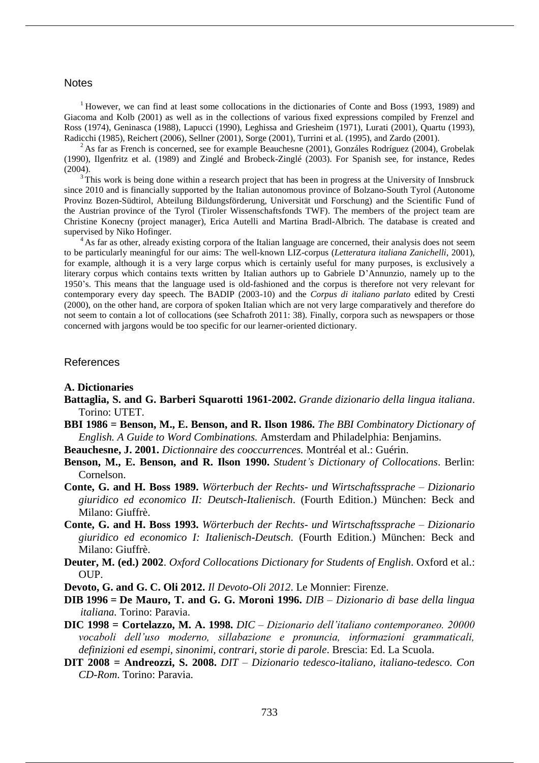### **Notes**

 $1$ <sup>1</sup> However, we can find at least some collocations in the dictionaries of Conte and Boss (1993, 1989) and Giacoma and Kolb (2001) as well as in the collections of various fixed expressions compiled by Frenzel and Ross (1974), Geninasca (1988), Lapucci (1990), Leghissa and Griesheim (1971), Lurati (2001), Quartu (1993), Radicchi (1985), Reichert (2006), Sellner (2001), Sorge (2001), Turrini et al. (1995), and Zardo (2001).

<sup>2</sup>As far as French is concerned, see for example Beauchesne (2001), Gonzáles Rodríguez (2004), Grobelak (1990), Ilgenfritz et al. (1989) and Zinglé and Brobeck-Zinglé (2003). For Spanish see, for instance, Redes (2004).

This work is being done within a research project that has been in progress at the University of Innsbruck since 2010 and is financially supported by the Italian autonomous province of Bolzano-South Tyrol (Autonome Provinz Bozen-Südtirol, Abteilung Bildungsförderung, Universität und Forschung) and the Scientific Fund of the Austrian province of the Tyrol (Tiroler Wissenschaftsfonds TWF). The members of the project team are Christine Konecny (project manager), Erica Autelli and Martina Bradl-Albrich. The database is created and supervised by Niko Hofinger.

<sup>4</sup>As far as other, already existing corpora of the Italian language are concerned, their analysis does not seem to be particularly meaningful for our aims: The well-known LIZ-corpus (*Letteratura italiana Zanichelli*, 2001), for example, although it is a very large corpus which is certainly useful for many purposes, is exclusively a literary corpus which contains texts written by Italian authors up to Gabriele D'Annunzio, namely up to the 1950's. This means that the language used is old-fashioned and the corpus is therefore not very relevant for contemporary every day speech. The BADIP (2003-10) and the *Corpus di italiano parlato* edited by Cresti (2000), on the other hand, are corpora of spoken Italian which are not very large comparatively and therefore do not seem to contain a lot of collocations (see Schafroth 2011: 38). Finally, corpora such as newspapers or those concerned with jargons would be too specific for our learner-oriented dictionary.

## References

#### **A. Dictionaries**

- **Battaglia, S. and G. Barberi Squarotti 1961-2002.** *Grande dizionario della lingua italiana*. Torino: UTET.
- **BBI 1986 = Benson, M., E. Benson, and R. Ilson 1986.** *The BBI Combinatory Dictionary of English. A Guide to Word Combinations.* Amsterdam and Philadelphia: Benjamins.
- **Beauchesne, J. 2001.** *Dictionnaire des cooccurrences.* Montréal et al.: Guérin.
- **Benson, M., E. Benson, and R. Ilson 1990.** *Student's Dictionary of Collocations*. Berlin: Cornelson.
- **Conte, G. and H. Boss 1989.** *Wörterbuch der Rechts- und Wirtschaftssprache – Dizionario giuridico ed economico II: Deutsch-Italienisch*. (Fourth Edition.) München: Beck and Milano: Giuffrè.
- **Conte, G. and H. Boss 1993.** *Wörterbuch der Rechts- und Wirtschaftssprache – Dizionario giuridico ed economico I: Italienisch-Deutsch*. (Fourth Edition.) München: Beck and Milano: Giuffrè.
- **Deuter, M. (ed.) 2002**. *Oxford Collocations Dictionary for Students of English*. Oxford et al.: OUP.
- **Devoto, G. and G. C. Oli 2012.** *Il Devoto-Oli 2012*. Le Monnier: Firenze.
- **DIB 1996 = De Mauro, T. and G. G. Moroni 1996.** *DIB – Dizionario di base della lingua italiana.* Torino: Paravia.
- **DIC 1998 = Cortelazzo, M. A. 1998.** *DIC – Dizionario dell'italiano contemporaneo. 20000 vocaboli dell'uso moderno, sillabazione e pronuncia, informazioni grammaticali, definizioni ed esempi, sinonimi, contrari, storie di parole*. Brescia: Ed. La Scuola.
- **DIT 2008 = Andreozzi, S. 2008.** *DIT – Dizionario tedesco-italiano, italiano-tedesco. Con CD-Rom*. Torino: Paravia.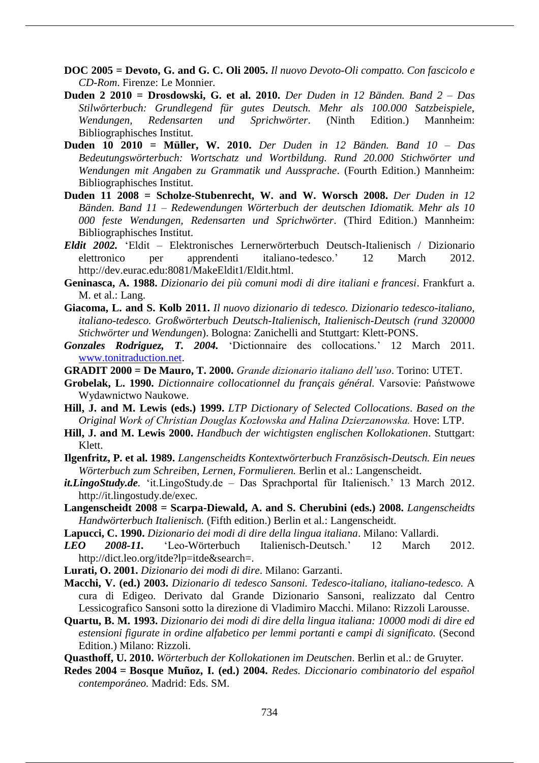- **DOC 2005 = Devoto, G. and G. C. Oli 2005.** *Il nuovo Devoto-Oli compatto. Con fascicolo e CD-Rom*. Firenze: Le Monnier.
- **Duden 2 2010 = Drosdowski, G. et al. 2010.** *Der Duden in 12 Bänden. Band 2 – Das Stilwörterbuch: Grundlegend für gutes Deutsch. Mehr als 100.000 Satzbeispiele, Wendungen, Redensarten und Sprichwörter*. (Ninth Edition.) Mannheim: Bibliographisches Institut.
- **Duden 10 2010 = Müller, W. 2010.** *Der Duden in 12 Bänden. Band 10 – Das Bedeutungswörterbuch: Wortschatz und Wortbildung. Rund 20.000 Stichwörter und Wendungen mit Angaben zu Grammatik und Aussprache*. (Fourth Edition.) Mannheim: Bibliographisches Institut.
- **Duden 11 2008 = Scholze-Stubenrecht, W. and W. Worsch 2008.** *Der Duden in 12 Bänden. Band 11 – Redewendungen Wörterbuch der deutschen Idiomatik. Mehr als 10 000 feste Wendungen, Redensarten und Sprichwörter*. (Third Edition.) Mannheim: Bibliographisches Institut.
- *Eldit 2002.* 'Eldit Elektronisches Lernerwörterbuch Deutsch-Italienisch / Dizionario elettronico per apprendenti italiano-tedesco.' 12 March 2012. http://dev.eurac.edu:8081/MakeEldit1/Eldit.html.
- **Geninasca, A. 1988.** *Dizionario dei più comuni modi di dire italiani e francesi*. Frankfurt a. M. et al.: Lang.
- **Giacoma, L. and S. Kolb 2011.** *Il nuovo dizionario di tedesco. Dizionario tedesco-italiano, italiano-tedesco. Großwörterbuch Deutsch-Italienisch, Italienisch-Deutsch (rund 320000 Stichwörter und Wendungen*). Bologna: Zanichelli and Stuttgart: Klett-PONS.
- *Gonzales Rodriguez, T. 2004.* 'Dictionnaire des collocations*.*' 12 March 2011. www.tonitraduction.net.
- **GRADIT 2000 = De Mauro, T. 2000.** *Grande dizionario italiano dell'uso*. Torino: UTET.
- **Grobelak, L. 1990.** *Dictionnaire collocationnel du français général.* Varsovie: Państwowe Wydawnictwo Naukowe.
- **Hill, J. and M. Lewis (eds.) 1999.** *LTP Dictionary of Selected Collocations*. *Based on the Original Work of Christian Douglas Kozłowska and Halina Dzierzanowska.* Hove: LTP.
- **Hill, J. and M. Lewis 2000.** *Handbuch der wichtigsten englischen Kollokationen*. Stuttgart: Klett.
- **Ilgenfritz, P. et al. 1989.** *Langenscheidts Kontextwörterbuch Französisch-Deutsch. Ein neues Wörterbuch zum Schreiben, Lernen, Formulieren.* Berlin et al.: Langenscheidt.
- *it.LingoStudy.de.* 'it.LingoStudy.de Das Sprachportal für Italienisch.' 13 March 2012. http://it.lingostudy.de/exec.
- **Langenscheidt 2008 = Scarpa-Diewald, A. and S. Cherubini (eds.) 2008.** *Langenscheidts Handwörterbuch Italienisch.* (Fifth edition.) Berlin et al.: Langenscheidt.
- **Lapucci, C. 1990.** *Dizionario dei modi di dire della lingua italiana*. Milano: Vallardi.
- *LEO 2008-11.* 'Leo-Wörterbuch Italienisch-Deutsch.' 12 March 2012. http://dict.leo.org/itde?lp=itde&search=.
- **Lurati, O. 2001.** *Dizionario dei modi di dire*. Milano: Garzanti.
- **Macchi, V. (ed.) 2003.** *Dizionario di tedesco Sansoni. Tedesco-italiano, italiano-tedesco.* A cura di Edigeo. Derivato dal Grande Dizionario Sansoni, realizzato dal Centro Lessicografico Sansoni sotto la direzione di Vladimiro Macchi. Milano: Rizzoli Larousse.
- **Quartu, B. M. 1993.** *Dizionario dei modi di dire della lingua italiana: 10000 modi di dire ed estensioni figurate in ordine alfabetico per lemmi portanti e campi di significato.* (Second Edition.) Milano: Rizzoli.
- **Quasthoff, U. 2010.** *Wörterbuch der Kollokationen im Deutschen*. Berlin et al.: de Gruyter.
- **Redes 2004 = Bosque Muñoz, I. (ed.) 2004.** *Redes. Diccionario combinatorio del español contemporáneo.* Madrid: Eds. SM.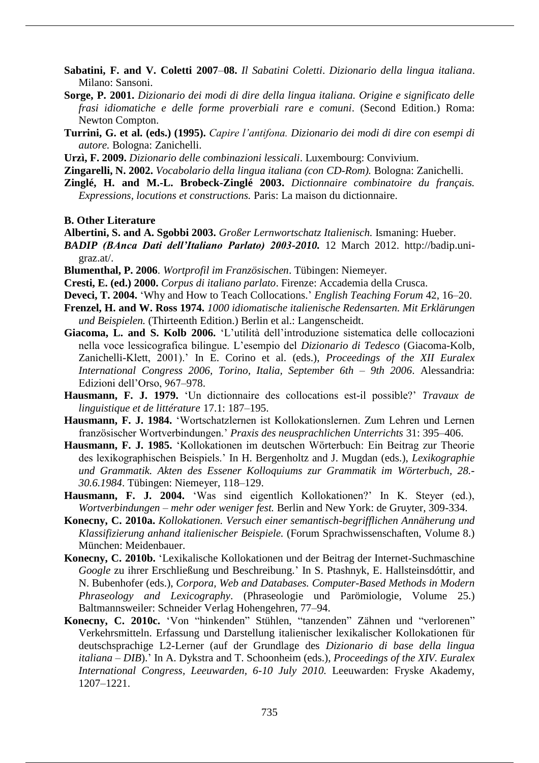- **Sabatini, F. and V. Coletti 2007**–**08.** *Il Sabatini Coletti*. *Dizionario della lingua italiana*. Milano: Sansoni.
- **Sorge, P. 2001.** *Dizionario dei modi di dire della lingua italiana. Origine e significato delle frasi idiomatiche e delle forme proverbiali rare e comuni*. (Second Edition.) Roma: Newton Compton.
- **Turrini, G. et al. (eds.) (1995).** *Capire l'antifona. Dizionario dei modi di dire con esempi di autore.* Bologna: Zanichelli.
- **Urzì, F. 2009.** *Dizionario delle combinazioni lessicali*. Luxembourg: Convivium.
- **Zingarelli, N. 2002.** *Vocabolario della lingua italiana (con CD-Rom).* Bologna: Zanichelli.
- **Zinglé, H. and M.-L. Brobeck-Zinglé 2003.** *Dictionnaire combinatoire du français. Expressions, locutions et constructions.* Paris: La maison du dictionnaire.

**B. Other Literature**

- **Albertini, S. and A. Sgobbi 2003.** *Großer Lernwortschatz Italienisch.* Ismaning: Hueber.
- *BADIP (BAnca Dati dell'Italiano Parlato) 2003-2010.* 12 March 2012. http://badip.unigraz.at/.
- **Blumenthal, P. 2006**. *Wortprofil im Französischen*. Tübingen: Niemeyer.
- **Cresti, E. (ed.) 2000.** *Corpus di italiano parlato*. Firenze: Accademia della Crusca.
- **Deveci, T. 2004.** 'Why and How to Teach Collocations.' *English Teaching Forum* 42, 16–20.
- **Frenzel, H. and W. Ross 1974.** *1000 idiomatische italienische Redensarten. Mit Erklärungen und Beispielen.* (Thirteenth Edition.) Berlin et al.: Langenscheidt.
- **Giacoma, L. and S. Kolb 2006.** 'L'utilità dell'introduzione sistematica delle collocazioni nella voce lessicografica bilingue. L'esempio del *Dizionario di Tedesco* (Giacoma-Kolb, Zanichelli-Klett, 2001).' In E. Corino et al. (eds.), *Proceedings of the XII Euralex International Congress 2006, Torino, Italia, September 6th – 9th 2006*. Alessandria: Edizioni dell'Orso, 967*–*978.
- **Hausmann, F. J. 1979.** 'Un dictionnaire des collocations est-il possible?' *Travaux de linguistique et de littérature* 17.1: 187*–*195.
- **Hausmann, F. J. 1984.** 'Wortschatzlernen ist Kollokationslernen. Zum Lehren und Lernen französischer Wortverbindungen.' *Praxis des neusprachlichen Unterrichts* 31: 395*–*406.
- **Hausmann, F. J. 1985.** 'Kollokationen im deutschen Wörterbuch: Ein Beitrag zur Theorie des lexikographischen Beispiels.' In H. Bergenholtz and J. Mugdan (eds.), *Lexikographie und Grammatik. Akten des Essener Kolloquiums zur Grammatik im Wörterbuch, 28.- 30.6.1984*. Tübingen: Niemeyer, 118*–*129.
- **Hausmann, F. J. 2004.** 'Was sind eigentlich Kollokationen?' In K. Steyer (ed.), *Wortverbindungen – mehr oder weniger fest.* Berlin and New York: de Gruyter, 309-334.
- **Konecny, C. 2010a.** *Kollokationen. Versuch einer semantisch-begrifflichen Annäherung und Klassifizierung anhand italienischer Beispiele.* (Forum Sprachwissenschaften, Volume 8.) München: Meidenbauer.
- **Konecny, C. 2010b.** 'Lexikalische Kollokationen und der Beitrag der Internet-Suchmaschine *Google* zu ihrer Erschließung und Beschreibung.' In S. Ptashnyk, E. Hallsteinsdóttir, and N. Bubenhofer (eds.), *Corpora, Web and Databases. Computer-Based Methods in Modern Phraseology and Lexicography*. (Phraseologie und Parömiologie, Volume 25.) Baltmannsweiler: Schneider Verlag Hohengehren, 77*–*94.
- **Konecny, C. 2010c.** 'Von "hinkenden" Stühlen, "tanzenden" Zähnen und "verlorenen" Verkehrsmitteln. Erfassung und Darstellung italienischer lexikalischer Kollokationen für deutschsprachige L2-Lerner (auf der Grundlage des *Dizionario di base della lingua italiana – DIB*).' In A. Dykstra and T. Schoonheim (eds.), *Proceedings of the XIV. Euralex International Congress, Leeuwarden, 6-10 July 2010.* Leeuwarden: Fryske Akademy, 1207*–*1221.